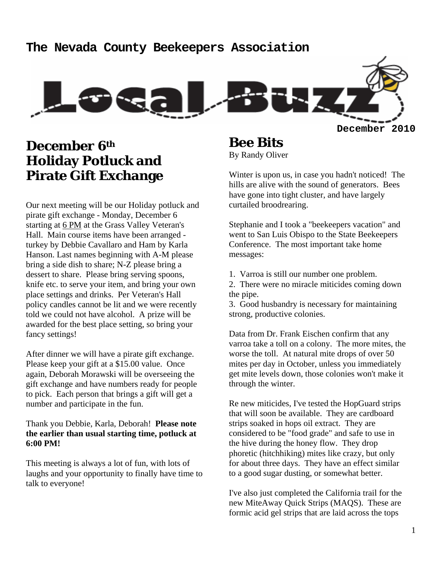### **The Nevada County Beekeepers Association**



# **December 6th Holiday Potluck and Pirate Gift Exchange**

Our next meeting will be our Holiday potluck and pirate gift exchange - Monday, December 6 starting at 6 PM at the Grass Valley Veteran's Hall. Main course items have been arranged turkey by Debbie Cavallaro and Ham by Karla Hanson. Last names beginning with A-M please bring a side dish to share; N-Z please bring a dessert to share. Please bring serving spoons, knife etc. to serve your item, and bring your own place settings and drinks. Per Veteran's Hall policy candles cannot be lit and we were recently told we could not have alcohol. A prize will be awarded for the best place setting, so bring your fancy settings!

After dinner we will have a pirate gift exchange. Please keep your gift at a \$15.00 value. Once again, Deborah Morawski will be overseeing the gift exchange and have numbers ready for people to pick. Each person that brings a gift will get a number and participate in the fun.

#### Thank you Debbie, Karla, Deborah! **Please note the earlier than usual starting time, potluck at 6:00 PM!**

This meeting is always a lot of fun, with lots of laughs and your opportunity to finally have time to talk to everyone!

**Bee Bits**  By Randy Oliver

Winter is upon us, in case you hadn't noticed! The hills are alive with the sound of generators. Bees have gone into tight cluster, and have largely curtailed broodrearing.

Stephanie and I took a "beekeepers vacation" and went to San Luis Obispo to the State Beekeepers Conference. The most important take home messages:

1. Varroa is still our number one problem.

2. There were no miracle miticides coming down the pipe.

3. Good husbandry is necessary for maintaining strong, productive colonies.

Data from Dr. Frank Eischen confirm that any varroa take a toll on a colony. The more mites, the worse the toll. At natural mite drops of over 50 mites per day in October, unless you immediately get mite levels down, those colonies won't make it through the winter.

Re new miticides, I've tested the HopGuard strips that will soon be available. They are cardboard strips soaked in hops oil extract. They are considered to be "food grade" and safe to use in the hive during the honey flow. They drop phoretic (hitchhiking) mites like crazy, but only for about three days. They have an effect similar to a good sugar dusting, or somewhat better.

I've also just completed the California trail for the new MiteAway Quick Strips (MAQS). These are formic acid gel strips that are laid across the tops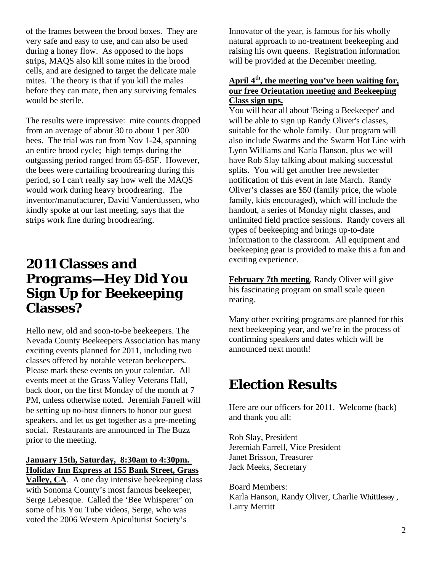of the frames between the brood boxes. They are very safe and easy to use, and can also be used during a honey flow. As opposed to the hops strips, MAQS also kill some mites in the brood cells, and are designed to target the delicate male mites. The theory is that if you kill the males before they can mate, then any surviving females would be sterile.

The results were impressive: mite counts dropped from an average of about 30 to about 1 per 300 bees. The trial was run from Nov 1-24, spanning an entire brood cycle; high temps during the outgassing period ranged from 65-85F. However, the bees were curtailing broodrearing during this period, so I can't really say how well the MAQS would work during heavy broodrearing. The inventor/manufacturer, David Vanderdussen, who kindly spoke at our last meeting, says that the strips work fine during broodrearing.

# **2011 Classes and Programs—Hey Did You Sign Up for Beekeeping Classes?**

Hello new, old and soon-to-be beekeepers. The Nevada County Beekeepers Association has many exciting events planned for 2011, including two classes offered by notable veteran beekeepers. Please mark these events on your calendar. All events meet at the Grass Valley Veterans Hall, back door, on the first Monday of the month at 7 PM, unless otherwise noted. Jeremiah Farrell will be setting up no-host dinners to honor our guest speakers, and let us get together as a pre-meeting social. Restaurants are announced in The Buzz prior to the meeting.

### **January 15th, Saturday, 8:30am to 4:30pm. Holiday Inn Express at 155 Bank Street, Grass**

**Valley, CA**. A one day intensive beekeeping class with Sonoma County's most famous beekeeper, Serge Lebesque. Called the 'Bee Whisperer' on some of his You Tube videos, Serge, who was voted the 2006 Western Apiculturist Society's

Innovator of the year, is famous for his wholly natural approach to no-treatment beekeeping and raising his own queens. Registration information will be provided at the December meeting.

### **April 4th, the meeting you've been waiting for, our free Orientation meeting and Beekeeping Class sign ups.**

You will hear all about 'Being a Beekeeper' and will be able to sign up Randy Oliver's classes, suitable for the whole family. Our program will also include Swarms and the Swarm Hot Line with Lynn Williams and Karla Hanson, plus we will have Rob Slay talking about making successful splits. You will get another free newsletter notification of this event in late March. Randy Oliver's classes are \$50 (family price, the whole family, kids encouraged), which will include the handout, a series of Monday night classes, and unlimited field practice sessions. Randy covers all types of beekeeping and brings up-to-date information to the classroom. All equipment and beekeeping gear is provided to make this a fun and exciting experience.

**February 7th meeting**, Randy Oliver will give his fascinating program on small scale queen rearing.

Many other exciting programs are planned for this next beekeeping year, and we're in the process of confirming speakers and dates which will be announced next month!

# **Election Results**

Here are our officers for 2011. Welcome (back) and thank you all:

Rob Slay, President Jeremiah Farrell, Vice President Janet Brisson, Treasurer Jack Meeks, Secretary

Board Members: Karla Hanson, Randy Oliver, Charlie Whittlesey , Larry Merritt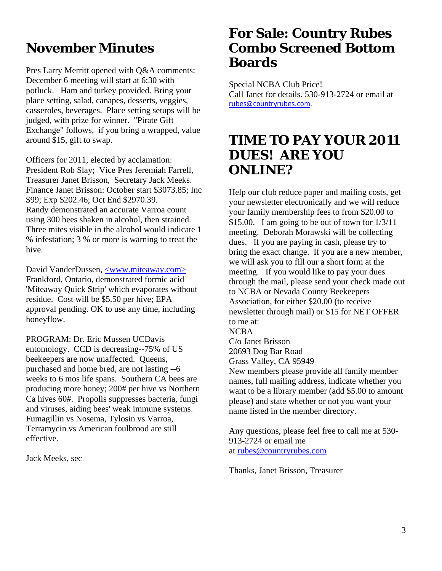# **November Minutes**

Pres Larry Merritt opened with Q&A comments: December 6 meeting will start at 6:30 with potluck. Ham and turkey provided. Bring your place setting, salad, canapes, desserts, veggies, casseroles, beverages. Place setting setups will be judged, with prize for winner. "Pirate Gift Exchange" follows, if you bring a wrapped, value around \$15, gift to swap.

Officers for 2011, elected by acclamation: President Rob Slay; Vice Pres Jeremiah Farrell, Treasurer Janet Brisson, Secretary Jack Meeks. Finance Janet Brisson: October start \$3073.85; Inc \$99; Exp \$202.46; Oct End \$2970.39. Randy demonstrated an accurate Varroa count using 300 bees shaken in alcohol, then strained. Three mites visible in the alcohol would indicate 1 % infestation; 3 % or more is warning to treat the hive.

David VanderDussen, <www.miteaway.com> Frankford, Ontario, demonstrated formic acid 'Miteaway Quick Strip' which evaporates without residue. Cost will be \$5.50 per hive; EPA approval pending. OK to use any time, including honeyflow.

PROGRAM: Dr. Eric Mussen UCDavis entomology. CCD is decreasing--75% of US beekeepers are now unaffected. Queens, purchased and home bred, are not lasting --6 weeks to 6 mos life spans. Southern CA bees are producing more honey; 200# per hive vs Northern Ca hives 60#. Propolis suppresses bacteria, fungi and viruses, aiding bees' weak immune systems. Fumagillin vs Nosema, Tylosin vs Varroa, Terramycin vs American foulbrood are still effective.

Jack Meeks, sec

## **For Sale: Country Rubes Combo Screened Bottom Boards**

Special NCBA Club Price! Call Janet for details. 530-913-2724 or email at rubes@countryrubes.com.

# **TIME TO PAY YOUR 2011 DUES! ARE YOU ONLINE?**

Help our club reduce paper and mailing costs, get your newsletter electronically and we will reduce your family membership fees to from \$20.00 to \$15.00. I am going to be out of town for  $1/3/11$ meeting. Deborah Morawski will be collecting dues. If you are paying in cash, please try to bring the exact change. If you are a new member, we will ask you to fill our a short form at the meeting. If you would like to pay your dues through the mail, please send your check made out to NCBA or Nevada County Beekeepers Association, for either \$20.00 (to receive newsletter through mail) or \$15 for NET OFFER to me at: NCBA C/o Janet Brisson 20693 Dog Bar Road Grass Valley, CA 95949 New members please provide all family member

names, full mailing address, indicate whether you want to be a library member (add \$5.00 to amount please) and state whether or not you want your name listed in the member directory.

Any questions, please feel free to call me at 530- 913-2724 or email me at rubes@countryrubes.com

Thanks, Janet Brisson, Treasurer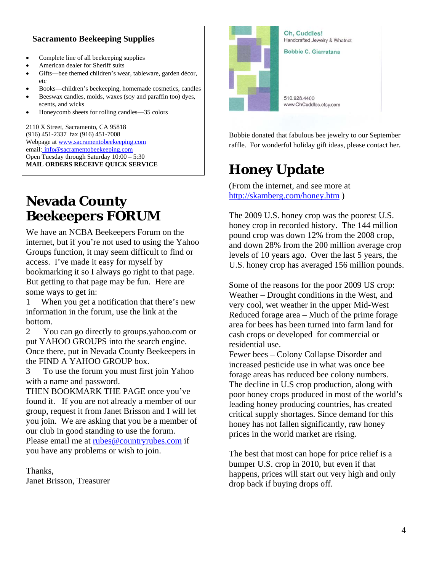### **Sacramento Beekeeping Supplies**

- Complete line of all beekeeping supplies
- American dealer for Sheriff suits
- Gifts—bee themed children's wear, tableware, garden décor, etc
- Books—children's beekeeping, homemade cosmetics, candles
- Beeswax candles, molds, waxes (soy and paraffin too) dyes, scents, and wicks
- Honeycomb sheets for rolling candles—35 colors

2110 X Street, Sacramento, CA 95818 (916) 451-2337 fax (916) 451-7008 Webpage at www.sacramentobeekeeping.com email: info@sacramentobeekeeping.com Open Tuesday through Saturday 10:00 – 5:30 **MAIL ORDERS RECEIVE QUICK SERVICE** 

# **Nevada County Beekeepers FORUM**

We have an NCBA Beekeepers Forum on the internet, but if you're not used to using the Yahoo Groups function, it may seem difficult to find or access. I've made it easy for myself by bookmarking it so I always go right to that page. But getting to that page may be fun. Here are some ways to get in:

1 When you get a notification that there's new information in the forum, use the link at the bottom.

2 You can go directly to groups.yahoo.com or put YAHOO GROUPS into the search engine. Once there, put in Nevada County Beekeepers in the FIND A YAHOO GROUP box.

3 To use the forum you must first join Yahoo with a name and password.

THEN BOOKMARK THE PAGE once you've found it. If you are not already a member of our group, request it from Janet Brisson and I will let you join. We are asking that you be a member of our club in good standing to use the forum. Please email me at rubes@countryrubes.com if you have any problems or wish to join.

Thanks, Janet Brisson, Treasurer



Bobbie donated that fabulous bee jewelry to our September raffle. For wonderful holiday gift ideas, please contact her.

# **Honey Update**

(From the internet, and see more at http://skamberg.com/honey.htm )

The 2009 U.S. honey crop was the poorest U.S. honey crop in recorded history. The 144 million pound crop was down 12% from the 2008 crop, and down 28% from the 200 million average crop levels of 10 years ago. Over the last 5 years, the U.S. honey crop has averaged 156 million pounds.

Some of the reasons for the poor 2009 US crop: Weather – Drought conditions in the West, and very cool, wet weather in the upper Mid-West Reduced forage area – Much of the prime forage area for bees has been turned into farm land for cash crops or developed for commercial or residential use.

Fewer bees – Colony Collapse Disorder and increased pesticide use in what was once bee forage areas has reduced bee colony numbers. The decline in U.S crop production, along with poor honey crops produced in most of the world's leading honey producing countries, has created critical supply shortages. Since demand for this honey has not fallen significantly, raw honey prices in the world market are rising.

The best that most can hope for price relief is a bumper U.S. crop in 2010, but even if that happens, prices will start out very high and only drop back if buying drops off.